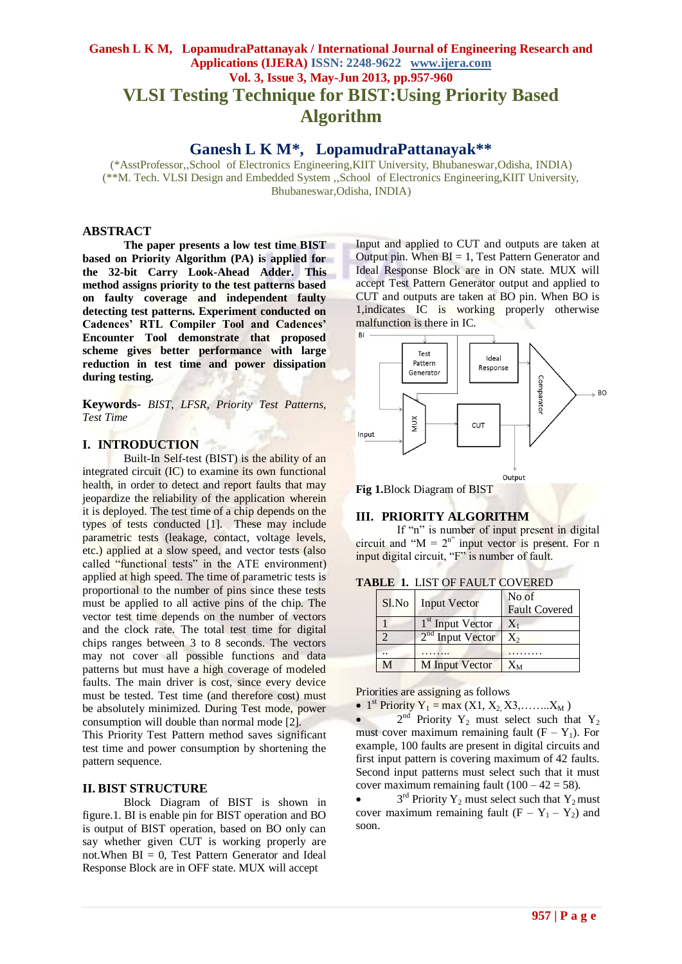# **Ganesh L K M, LopamudraPattanayak / International Journal of Engineering Research and Applications (IJERA) ISSN: 2248-9622 www.ijera.com Vol. 3, Issue 3, May-Jun 2013, pp.957-960 VLSI Testing Technique for BIST:Using Priority Based Algorithm**

# **Ganesh L K M\* , LopamudraPattanayak\*\***

(\*AsstProfessor,,School of Electronics Engineering,KIIT University, Bhubaneswar,Odisha, INDIA) (\*\*M. Tech. VLSI Design and Embedded System ,,School of Electronics Engineering,KIIT University, Bhubaneswar,Odisha, INDIA)

#### **ABSTRACT**

**The paper presents a low test time BIST based on Priority Algorithm (PA) is applied for the 32-bit Carry Look-Ahead Adder. This method assigns priority to the test patterns based on faulty coverage and independent faulty detecting test patterns. Experiment conducted on Cadences' RTL Compiler Tool and Cadences' Encounter Tool demonstrate that proposed scheme gives better performance with large reduction in test time and power dissipation during testing.** 

**Keywords-** *BIST, LFSR, Priority Test Patterns, Test Time*

#### **I. INTRODUCTION**

Built-In Self-test (BIST) is the ability of an integrated circuit (IC) to examine its own functional health, in order to detect and report faults that may jeopardize the reliability of the application wherein it is deployed. The test time of a chip depends on the types of tests conducted [1]. These may include parametric tests (leakage, contact, voltage levels, etc.) applied at a slow speed, and vector tests (also called "functional tests" in the ATE environment) applied at high speed. The time of parametric tests is proportional to the number of pins since these tests must be applied to all active pins of the chip. The vector test time depends on the number of vectors and the clock rate. The total test time for digital chips ranges between 3 to 8 seconds. The vectors may not cover all possible functions and data patterns but must have a high coverage of modeled faults. The main driver is cost, since every device must be tested. Test time (and therefore cost) must be absolutely minimized. During Test mode, power consumption will double than normal mode [2].

This Priority Test Pattern method saves significant test time and power consumption by shortening the pattern sequence.

#### **II. BIST STRUCTURE**

Block Diagram of BIST is shown in figure.1. BI is enable pin for BIST operation and BO is output of BIST operation, based on BO only can say whether given CUT is working properly are not.When BI = 0, Test Pattern Generator and Ideal Response Block are in OFF state. MUX will accept

Input and applied to CUT and outputs are taken at Output pin. When  $BI = 1$ , Test Pattern Generator and Ideal Response Block are in ON state. MUX will accept Test Pattern Generator output and applied to CUT and outputs are taken at BO pin. When BO is 1,indicates IC is working properly otherwise malfunction is there in IC.



**Fig 1.**Block Diagram of BIST

### **III. PRIORITY ALGORITHM**

If "n" is number of input present in digital circuit and " $M = 2<sup>n</sup>$ " input vector is present. For n input digital circuit, "F" is number of fault.

|  | <b>TABLE 1. LIST OF FAULT COVERED</b> |  |  |  |  |  |  |
|--|---------------------------------------|--|--|--|--|--|--|
|--|---------------------------------------|--|--|--|--|--|--|

| Sl.No | <b>Input Vector</b>          | No of<br><b>Fault Covered</b> |
|-------|------------------------------|-------------------------------|
|       | 1 <sup>st</sup> Input Vector | $X_1$                         |
|       | 2 <sup>nd</sup> Input Vector | $X_{2}$                       |
|       |                              |                               |
| M٦    | <b>M</b> Input Vector        | Xм                            |

Priorities are assigning as follows

• 1<sup>st</sup> Priority  $Y_1 = \max (X1, X_2, X3, \dots, X_M)$ 

•  $2<sup>nd</sup>$  Priority Y<sub>2</sub> must select such that Y<sub>2</sub> must cover maximum remaining fault  $(F - Y_1)$ . For example, 100 faults are present in digital circuits and first input pattern is covering maximum of 42 faults. Second input patterns must select such that it must cover maximum remaining fault  $(100 - 42 = 58)$ .

•  $3<sup>rd</sup>$  Priority Y<sub>2</sub> must select such that Y<sub>2</sub> must cover maximum remaining fault  $(F - Y_1 - Y_2)$  and soon.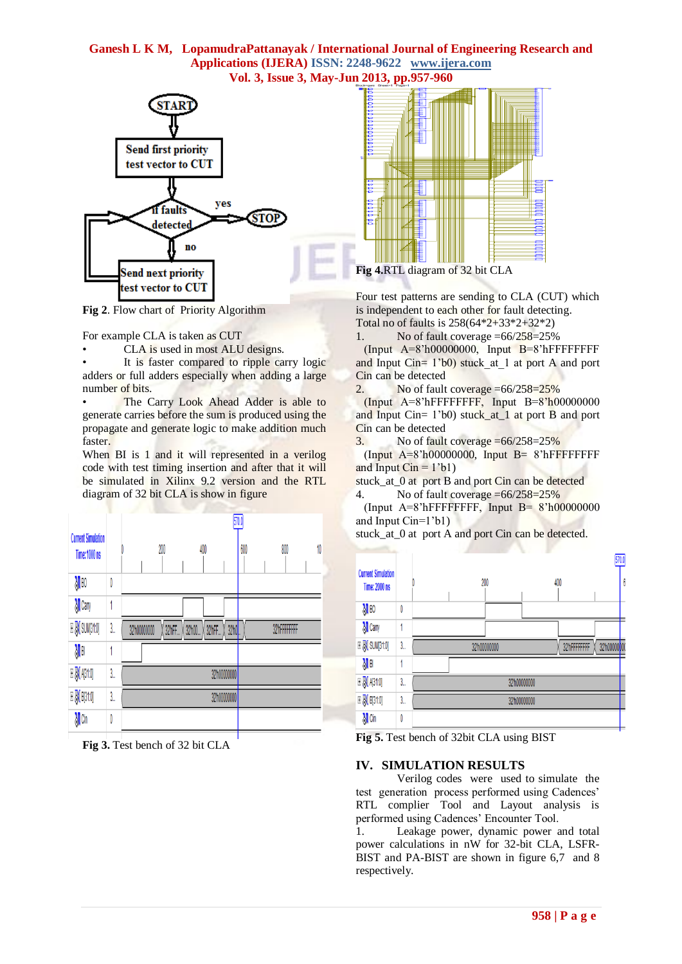### **Ganesh L K M, LopamudraPattanayak / International Journal of Engineering Research and Applications (IJERA) ISSN: 2248-9622 www.ijera.com Vol. 3, Issue 3, May-Jun 2013, pp.957-960**



**Fig 2**. Flow chart of Priority Algorithm

For example CLA is taken as CUT

CLA is used in most ALU designs.

It is faster compared to ripple carry logic adders or full adders especially when adding a large number of bits.

The Carry Look Ahead Adder is able to generate carries before the sum is produced using the propagate and generate logic to make addition much faster.

When BI is 1 and it will represented in a verilog code with test timing insertion and after that it will be simulated in Xilinx 9.2 version and the RTL diagram of 32 bit CLA is show in figure

|                                                                                                                                             |     |             |       |        |               | 570.0 |              |    |
|---------------------------------------------------------------------------------------------------------------------------------------------|-----|-------------|-------|--------|---------------|-------|--------------|----|
| <b>Current Simulation</b><br>Time: 1000 ns                                                                                                  |     |             | 200   | 400    |               | 600   | 800          | 10 |
| $\sqrt[3]{1}$ BO                                                                                                                            | 0   |             |       |        |               |       |              |    |
| M Cany                                                                                                                                      |     |             |       |        |               |       |              |    |
| <b>E</b> <mark>√</mark> SUM[31:0]                                                                                                           | 3., | 32h00000000 | 32hFF | 32'h00 | 32hFF<br>32h0 |       | 32hFFFFFFFFF |    |
| $\sqrt{\frac{1}{2}}$                                                                                                                        |     |             |       |        |               |       |              |    |
| $E$ $N$ $A$ [31:0]                                                                                                                          | 3., |             |       |        | 32h00000000   |       |              |    |
| $\mathbb{E}\big[ \big] \hspace{-1mm} \big] \hspace{-1mm} \big] \hspace{-1mm} \mathbb{E}\big[ \big] \hspace{-1mm} \big] \hspace{-1mm} \big]$ | 3., |             |       |        | 32h00000000   |       |              |    |
| Ma                                                                                                                                          | 0   |             |       |        |               |       |              |    |
|                                                                                                                                             |     |             |       |        |               |       |              |    |

**Fig 3.** Test bench of 32 bit CLA



**Fig 4.**RTL diagram of 32 bit CLA

Four test patterns are sending to CLA (CUT) which is independent to each other for fault detecting. Total no of faults is  $258(64*2+33*2+32*2)$ 

1. No of fault coverage  $=66/258=25%$ 

 $(Input A=8'h00000000, Input B=8'hFFFFFFFFF)$ and Input Cin=  $1'$ b $\overline{0}$ ) stuck at 1 at port A and port Cin can be detected

2. No of fault coverage  $=66/258=25%$ 

 (Input A=8'hFFFFFFFF, Input B=8'h00000000 and Input Cin= 1'b0) stuck\_at\_1 at port B and port Cin can be detected

3. No of fault coverage  $=66/258=25\%$ 

 $(Input A=8'h00000000, Input B=8'hFFFFFFFFF)$ and Input  $Cin = 1$ 'b1)

stuck\_at\_0 at port B and port Cin can be detected

4. No of fault coverage =66/258=25%

(Input  $A=8$ 'hFFFFFFFFFF, Input  $B=8$ 'h00000000 and Input Cin=1'b1)

stuck at 0 at port A and port Cin can be detected.



**Fig 5.** Test bench of 32bit CLA using BIST

### **IV. SIMULATION RESULTS**

Verilog codes were used to simulate the test generation process performed using Cadences' RTL complier Tool and Layout analysis is performed using Cadences' Encounter Tool.

1. Leakage power, dynamic power and total power calculations in nW for 32-bit CLA, LSFR-BIST and PA-BIST are shown in figure 6,7 and 8 respectively.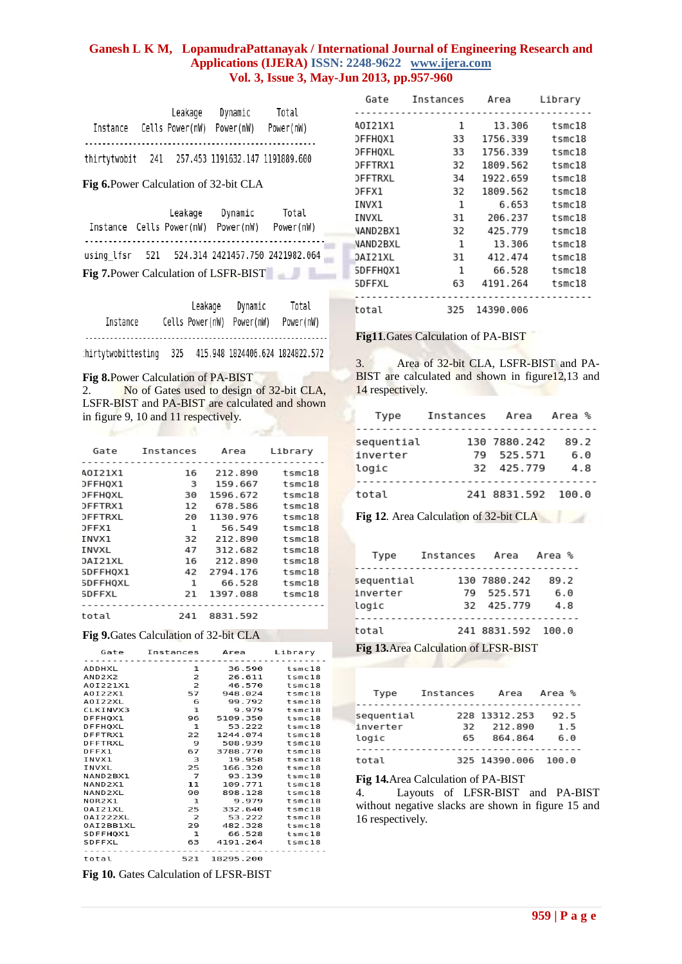## **Ganesh L K M, LopamudraPattanayak / International Journal of Engineering Research and Applications (IJERA) ISSN: 2248-9622 www.ijera.com Vol. 3, Issue 3, May-Jun 2013, pp.957-960**

|              |     | Leakage         | Dynamic   | Total                           |
|--------------|-----|-----------------|-----------|---------------------------------|
| Instance     |     | Cells Power(nW) | Power(nW) | Power(nW)                       |
|              |     |                 |           |                                 |
| thirtytwobit | 241 |                 |           | 257.453 1191632.147 1191889.600 |

**Fig 6.**Power Calculation of 32-bit CLA

| Instance Cells Power(nW)              |  | Leakage | Dynamic<br>Power(nW)                           | Total<br>Power(nW) |  |
|---------------------------------------|--|---------|------------------------------------------------|--------------------|--|
|                                       |  |         | using lfsr 521 524.314 2421457.750 2421982.064 |                    |  |
| Fig 7. Power Calculation of LSFR-BIST |  |         |                                                |                    |  |

| Instance           |     | Leakage<br>Cells Power(nW) | Dynamic<br>Power(nW)            | Total<br>Power(nW) |
|--------------------|-----|----------------------------|---------------------------------|--------------------|
| hirtytwobittesting | 325 |                            | 415.948 1824406.624 1824822.572 |                    |

**Fig 8.**Power Calculation of PA-BIST

**COMPANY** 

2. No of Gates used to design of 32-bit CLA, LSFR-BIST and PA-BIST are calculated and shown in figure 9, 10 and 11 respectively.

| Gate           | Instances | Area     | Library |
|----------------|-----------|----------|---------|
| A0I21X1        | 16        | 212.890  | tsmc18  |
| DFFHQX1        | 3         | 159.667  | tsmc18  |
| <b>DFFHOXL</b> | 30        | 1596.672 | tsmc18  |
| DFFTRX1        | 12        | 678.586  | tsmc18  |
| <b>DFFTRXL</b> | 20        | 1130.976 | tsmc18  |
| DFFX1          | 1         | 56.549   | tsmc18  |
| INVX1          | 32        | 212.890  | tsmc18  |
| INVXL          | 47        | 312.682  | tsmc18  |
| DAI21XL        | 16        | 212.890  | tsmc18  |
| SDFFHQX1       | 42        | 2794.176 | tsmc18  |
| SDFFHOXL       | 1         | 66.528   | tsmc18  |
| SDFFXL         | 21        | 1397.088 | tsmc18  |
| total          | 241       | 8831.592 |         |

**Fig 9.**Gates Calculation of 32-bit CLA

|                                 | Gate Instances Area Library |                    |                 |
|---------------------------------|-----------------------------|--------------------|-----------------|
| <b>ADDHXL</b>                   | 1                           |                    | 36.590 tsmc18   |
| AND <sub>2</sub> X <sub>2</sub> | $\mathbf{z}$                |                    | 26.611 tsmc18   |
| A0I221X1                        | $\overline{2}$              | 46.570             | tsmc18          |
| A0I22X1                         | 57                          |                    | 948.024 tsmc18  |
| A0I22XL                         | 6                           |                    | 99.792 tsmc18   |
| CLKINVX3                        | $\mathbf{1}$                | 9.979              | $t$ smc $18$    |
| DFFHQX1                         | 96                          |                    | 5109.350 tsmc18 |
| DFFHOXL                         | $\mathbf{1}$                | 53.222             | tsmc18          |
| DFFTRX1                         | 22                          | 1244.074           | tsmc18          |
| DFFTRXL                         | - 9                         |                    | 508.939 tsmc18  |
| DFFX1                           | 67 -                        | 3788.770           | tsmc18          |
| TNVX1                           | 3                           |                    | 19.958 tsmc18   |
| INVXL                           | 25                          | 166.320            | tsmc18          |
| NAND2BX1                        | $\overline{7}$              | 93.139             | tsmc18          |
| NAND <sub>2X1</sub>             | 11                          |                    | 109.771 tsmc18  |
| NAND2XL                         | 90                          | 898.128            | $t$ smc $18$    |
| NOR2X1                          | $\mathbf{1}$                | 9.979 tsmc18       |                 |
| 0AI21XL                         | 25                          | 332.640            | tsmc18          |
| 0AI222XL                        | $\overline{z}$              | 53.222             | tsmc18          |
| 0AI2BB1XL                       |                             | 29 482.328 tsmc18  |                 |
| SDFFH0X1                        | 1                           |                    | 66.528 tsmc18   |
| SDFFXL                          |                             | 63 4191.264 tsmc18 |                 |
|                                 |                             |                    |                 |
| total                           | 521                         | 18295.200          |                 |
|                                 |                             |                    |                 |

**Fig 10.** Gates Calculation of LFSR-BIST

| Gate     | Instances | Area      | Library      |
|----------|-----------|-----------|--------------|
|          |           |           |              |
| 40I21X1  | 1         | 13.306    | tsmc18       |
| DFFHOX1  | 33        | 1756.339  | tsmc18       |
| DFFHQXL  | 33        | 1756.339  | $t$ smc $18$ |
| DFFTRX1  | 32        | 1809.562  | tsmc18       |
| DFFTRXL  | 34        | 1922.659  | tsmc18       |
| DFFX1    | 32        | 1809.562  | tsmc18       |
| INVX1    | 1         | 6.653     | tsmc18       |
| INVXL    | 31        | 206.237   | $t$ smc $18$ |
| NAND2BX1 | 32        | 425.779   | tsmc18       |
| NAND2BXL | 1         | 13.306    | $t$ smc $18$ |
| DAI21XL  | 31        | 412.474   | tsmc18       |
| SDFFHQX1 | 1         | 66.528    | tsmc18       |
| SDFFXL   | 63        | 4191.264  | tsmc18       |
|          |           |           |              |
| total    | 325       | 14390.006 |              |

**Fig11***.*Gates Calculation of PA-BIST

3. Area of 32-bit CLA, LSFR-BIST and PA-BIST are calculated and shown in figure<sup>12,13</sup> and 14 respectively.

| Type                            | Instances | Area                                     | Area %             |
|---------------------------------|-----------|------------------------------------------|--------------------|
| sequential<br>inverter<br>logic |           | 130 7880.242<br>79 525.571<br>32 425.779 | 89.2<br>6.0<br>4.8 |
| total                           |           | 241 8831.592 100.0                       |                    |

**Fig 12**. Area Calculation of 32-bit CLA

| Type                            | Instances Area Area % |                                          |                    |
|---------------------------------|-----------------------|------------------------------------------|--------------------|
| sequential<br>inverter<br>logic |                       | 130 7880.242<br>79 525.571<br>32 425.779 | 89.2<br>6.0<br>4.8 |
| total                           |                       | 241 8831.592 100.0                       |                    |

**Fig 13.**Area Calculation of LFSR-BIST

| Type                            | Instances  | Area                                | Area %             |
|---------------------------------|------------|-------------------------------------|--------------------|
| sequential<br>inverter<br>logic | 32.<br>65. | 228 13312.253<br>212.890<br>864.864 | 92.5<br>1.5<br>6.0 |
| total                           |            | 325 14390.006                       | 100.0              |

**Fig 14.**Area Calculation of PA-BIST

4. Layouts of LFSR-BIST and PA-BIST without negative slacks are shown in figure 15 and 16 respectively.